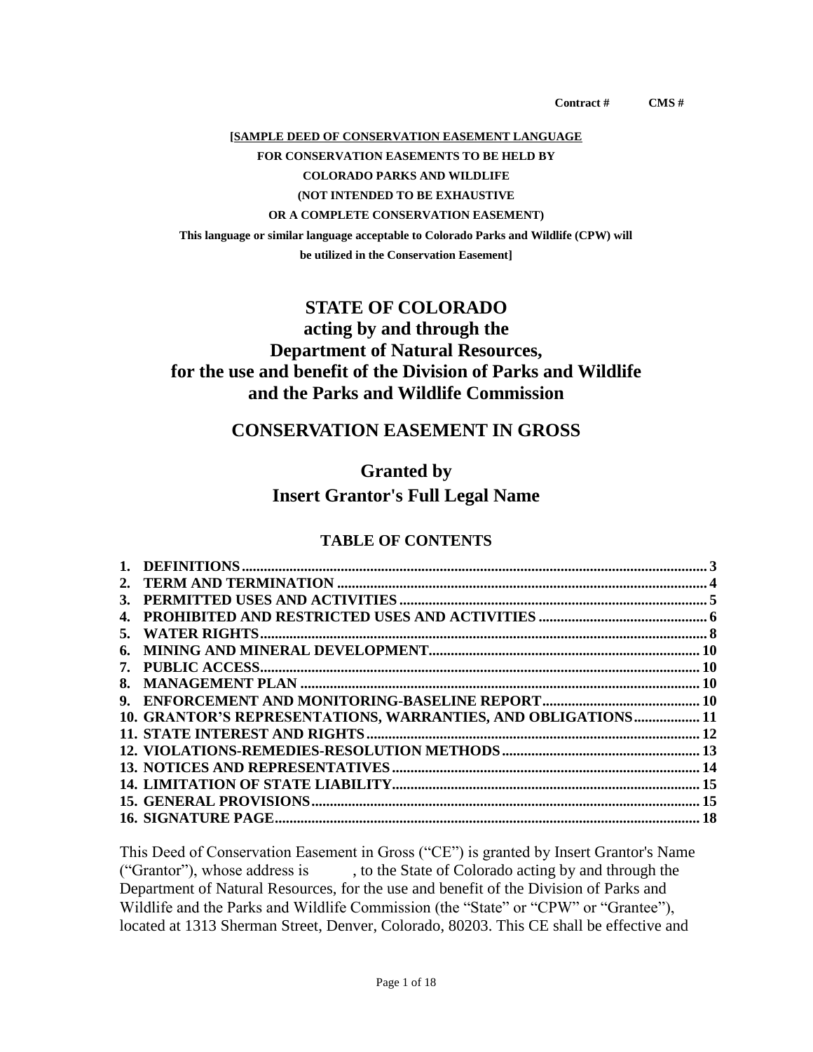**Contract # CMS #** 

#### **[SAMPLE DEED OF CONSERVATION EASEMENT LANGUAGE**

#### **FOR CONSERVATION EASEMENTS TO BE HELD BY**

**COLORADO PARKS AND WILDLIFE**

## **(NOT INTENDED TO BE EXHAUSTIVE**

#### **OR A COMPLETE CONSERVATION EASEMENT)**

**This language or similar language acceptable to Colorado Parks and Wildlife (CPW) will be utilized in the Conservation Easement]**

## **STATE OF COLORADO**

# **acting by and through the Department of Natural Resources, for the use and benefit of the Division of Parks and Wildlife and the Parks and Wildlife Commission**

## **CONSERVATION EASEMENT IN GROSS**

#### **Granted by**

## **Insert Grantor's Full Legal Name**

#### **TABLE OF CONTENTS**

| 3. |                                                                |  |
|----|----------------------------------------------------------------|--|
|    |                                                                |  |
| 5. |                                                                |  |
| 6. |                                                                |  |
|    |                                                                |  |
| 8. |                                                                |  |
| 9. |                                                                |  |
|    | 10. GRANTOR'S REPRESENTATIONS, WARRANTIES, AND OBLIGATIONS  11 |  |
|    |                                                                |  |
|    |                                                                |  |
|    |                                                                |  |
|    |                                                                |  |
|    |                                                                |  |
|    |                                                                |  |
|    |                                                                |  |

This Deed of Conservation Easement in Gross ("CE") is granted by Insert Grantor's Name ("Grantor"), whose address is , to the State of Colorado acting by and through the Department of Natural Resources, for the use and benefit of the Division of Parks and Wildlife and the Parks and Wildlife Commission (the "State" or "CPW" or "Grantee"), located at 1313 Sherman Street, Denver, Colorado, 80203. This CE shall be effective and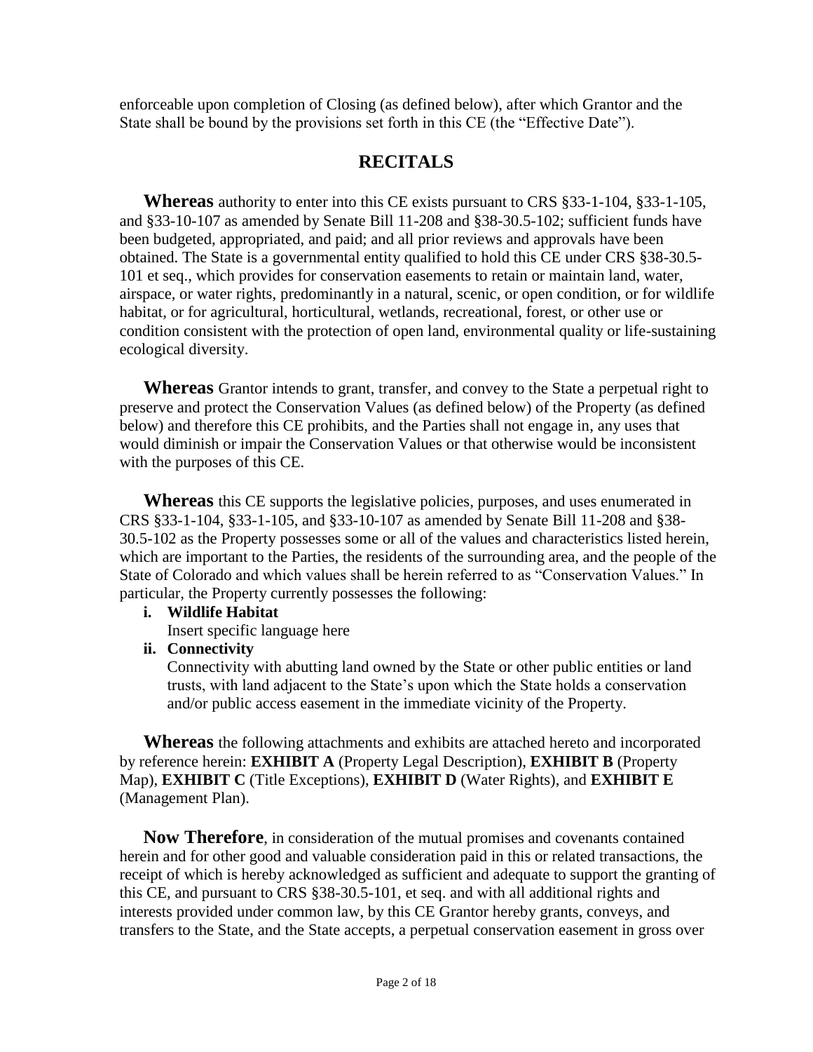enforceable upon completion of Closing (as defined below), after which Grantor and the State shall be bound by the provisions set forth in this CE (the "Effective Date").

# **RECITALS**

**Whereas** authority to enter into this CE exists pursuant to CRS §33-1-104, §33-1-105, and §33-10-107 as amended by Senate Bill 11-208 and §38-30.5-102; sufficient funds have been budgeted, appropriated, and paid; and all prior reviews and approvals have been obtained. The State is a governmental entity qualified to hold this CE under CRS §38-30.5- 101 et seq., which provides for conservation easements to retain or maintain land, water, airspace, or water rights, predominantly in a natural, scenic, or open condition, or for wildlife habitat, or for agricultural, horticultural, wetlands, recreational, forest, or other use or condition consistent with the protection of open land, environmental quality or life-sustaining ecological diversity.

**Whereas** Grantor intends to grant, transfer, and convey to the State a perpetual right to preserve and protect the Conservation Values (as defined below) of the Property (as defined below) and therefore this CE prohibits, and the Parties shall not engage in, any uses that would diminish or impair the Conservation Values or that otherwise would be inconsistent with the purposes of this CE.

**Whereas** this CE supports the legislative policies, purposes, and uses enumerated in CRS §33-1-104, §33-1-105, and §33-10-107 as amended by Senate Bill 11-208 and §38- 30.5-102 as the Property possesses some or all of the values and characteristics listed herein, which are important to the Parties, the residents of the surrounding area, and the people of the State of Colorado and which values shall be herein referred to as "Conservation Values." In particular, the Property currently possesses the following:

#### **i. Wildlife Habitat**

Insert specific language here

## **ii. Connectivity**

Connectivity with abutting land owned by the State or other public entities or land trusts, with land adjacent to the State's upon which the State holds a conservation and/or public access easement in the immediate vicinity of the Property.

**Whereas** the following attachments and exhibits are attached hereto and incorporated by reference herein: **[EXHIBIT A](#page-18-0)** [\(Property Legal](#page-18-0) Description), **[EXHIBIT B](#page-19-0)** [\(Property](#page-19-0)  [Map\),](#page-19-0) **[EXHIBIT C](#page-20-0)** [\(Title Exceptions\),](#page-20-0) **[EXHIBIT D](#page-21-0)** [\(Water Rights\),](#page-21-0) and **[EXHIBIT E](#page-22-0)** [\(Management Plan\).](#page-22-0)

**Now Therefore**, in consideration of the mutual promises and covenants contained herein and for other good and valuable consideration paid in this or related transactions, the receipt of which is hereby acknowledged as sufficient and adequate to support the granting of this CE, and pursuant to CRS §38-30.5-101, et seq. and with all additional rights and interests provided under common law, by this CE Grantor hereby grants, conveys, and transfers to the State, and the State accepts, a perpetual conservation easement in gross over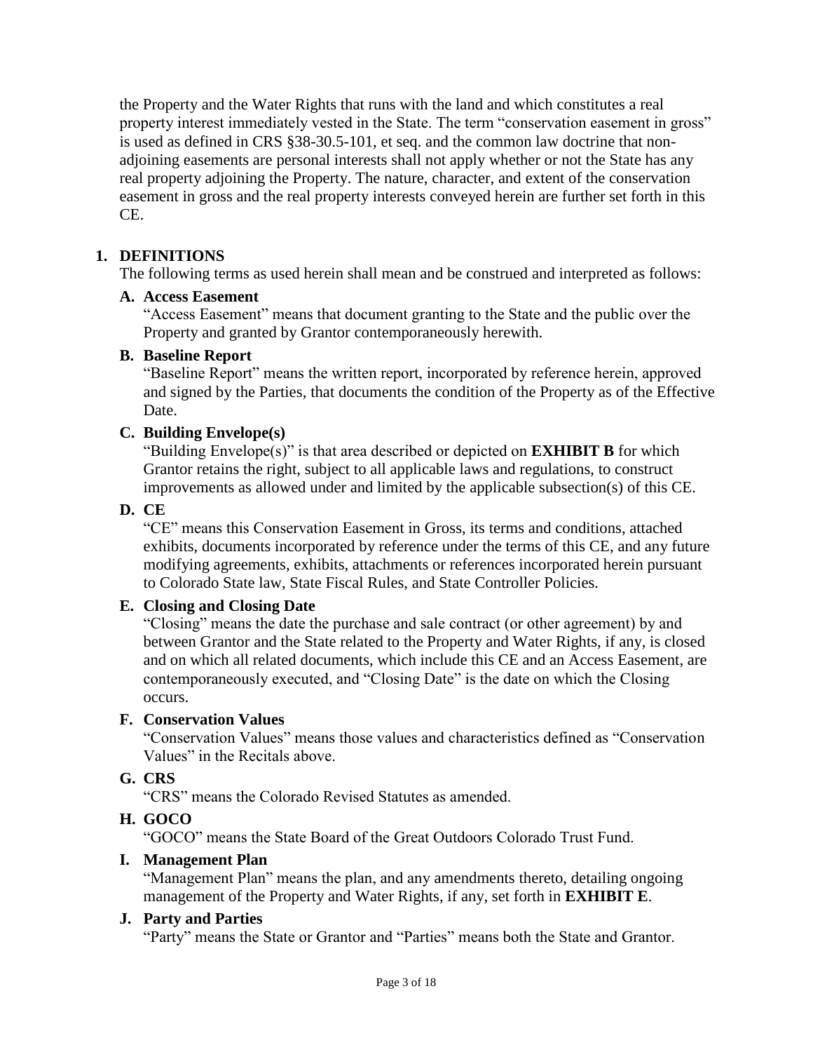the Property and the Water Rights that runs with the land and which constitutes a real property interest immediately vested in the State. The term "conservation easement in gross" is used as defined in CRS §38-30.5-101, et seq. and the common law doctrine that nonadjoining easements are personal interests shall not apply whether or not the State has any real property adjoining the Property. The nature, character, and extent of the conservation easement in gross and the real property interests conveyed herein are further set forth in this CE.

## <span id="page-2-0"></span>**1. DEFINITIONS**

The following terms as used herein shall mean and be construed and interpreted as follows:

## **A. Access Easement**

"Access Easement" means that document granting to the State and the public over the Property and granted by Grantor contemporaneously herewith.

## **B. Baseline Report**

"Baseline Report" means the written report, incorporated by reference herein, approved and signed by the Parties, that documents the condition of the Property as of the Effective Date.

## **C. Building Envelope(s)**

"Building Envelope(s)" is that area described or depicted on **[EXHIBIT B](#page-19-0)** for which Grantor retains the right, subject to all applicable laws and regulations, to construct improvements as allowed under and limited by the applicable subsection(s) of this CE.

## **D. CE**

"CE" means this Conservation Easement in Gross, its terms and conditions, attached exhibits, documents incorporated by reference under the terms of this CE, and any future modifying agreements, exhibits, attachments or references incorporated herein pursuant to Colorado State law, State Fiscal Rules, and State Controller Policies.

## **E. Closing and Closing Date**

"Closing" means the date the purchase and sale contract (or other agreement) by and between Grantor and the State related to the Property and Water Rights, if any, is closed and on which all related documents, which include this CE and an Access Easement, are contemporaneously executed, and "Closing Date" is the date on which the Closing occurs.

## **F. Conservation Values**

"Conservation Values" means those values and characteristics defined as "Conservation Values" in the Recitals above.

## **G. CRS**

"CRS" means the Colorado Revised Statutes as amended.

## **H. GOCO**

"GOCO" means the State Board of the Great Outdoors Colorado Trust Fund.

## **I. Management Plan**

"Management Plan" means the plan, and any amendments thereto, detailing ongoing management of the Property and Water Rights, if any, set forth in **[EXHIBIT E](#page-22-0)**.

## **J. Party and Parties**

"Party" means the State or Grantor and "Parties" means both the State and Grantor.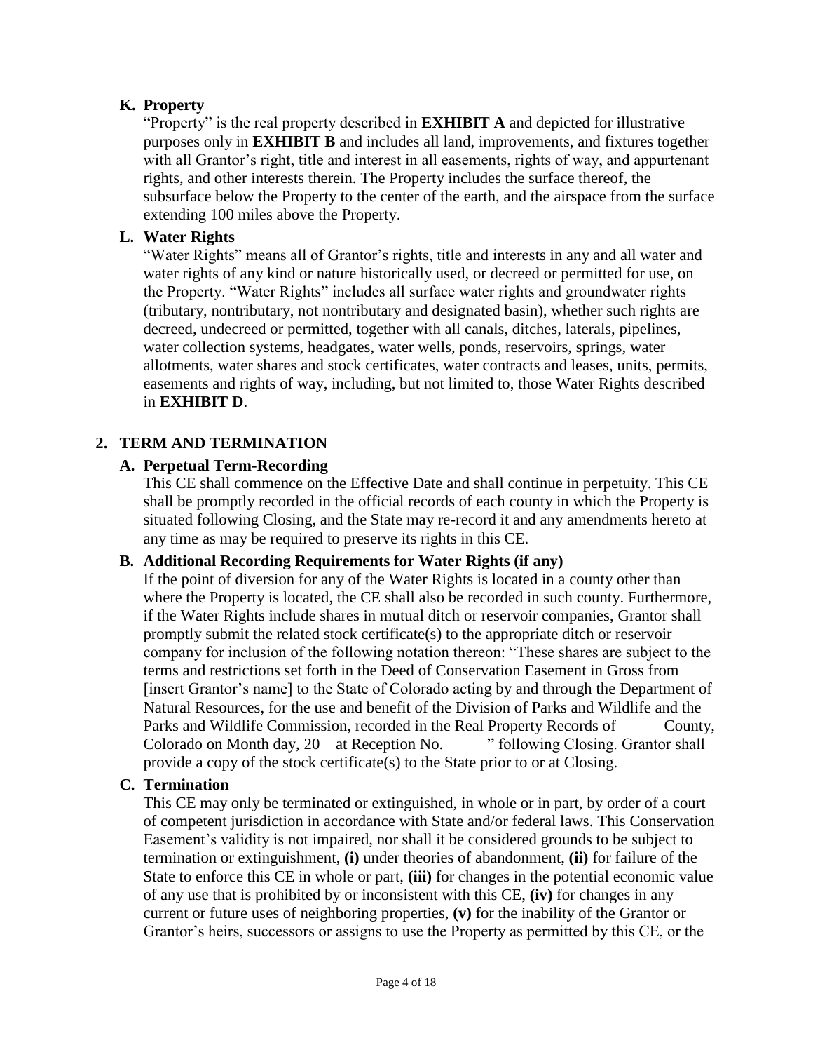## **K. Property**

"Property" is the real property described in **[EXHIBIT A](#page-18-0)** and depicted for illustrative purposes only in **[EXHIBIT B](#page-19-0)** and includes all land, improvements, and fixtures together with all Grantor's right, title and interest in all easements, rights of way, and appurtenant rights, and other interests therein. The Property includes the surface thereof, the subsurface below the Property to the center of the earth, and the airspace from the surface extending 100 miles above the Property.

## <span id="page-3-1"></span>**L. Water Rights**

"Water Rights" means all of Grantor's rights, title and interests in any and all water and water rights of any kind or nature historically used, or decreed or permitted for use, on the Property. "Water Rights" includes all surface water rights and groundwater rights (tributary, nontributary, not nontributary and designated basin), whether such rights are decreed, undecreed or permitted, together with all canals, ditches, laterals, pipelines, water collection systems, headgates, water wells, ponds, reservoirs, springs, water allotments, water shares and stock certificates, water contracts and leases, units, permits, easements and rights of way, including, but not limited to, those Water Rights described in **[EXHIBIT D](#page-21-0)**.

## <span id="page-3-0"></span>**2. TERM AND TERMINATION**

## **A. Perpetual Term-Recording**

This CE shall commence on the Effective Date and shall continue in perpetuity. This CE shall be promptly recorded in the official records of each county in which the Property is situated following Closing, and the State may re-record it and any amendments hereto at any time as may be required to preserve its rights in this CE.

## **B. Additional Recording Requirements for Water Rights (if any)**

If the point of diversion for any of the Water Rights is located in a county other than where the Property is located, the CE shall also be recorded in such county. Furthermore, if the Water Rights include shares in mutual ditch or reservoir companies, Grantor shall promptly submit the related stock certificate(s) to the appropriate ditch or reservoir company for inclusion of the following notation thereon: "These shares are subject to the terms and restrictions set forth in the Deed of Conservation Easement in Gross from [insert Grantor's name] to the State of Colorado acting by and through the Department of Natural Resources, for the use and benefit of the Division of Parks and Wildlife and the Parks and Wildlife Commission, recorded in the Real Property Records of County, Colorado on Month day, 20 at Reception No. " following Closing. Grantor shall provide a copy of the stock certificate(s) to the State prior to or at Closing.

## **C. Termination**

This CE may only be terminated or extinguished, in whole or in part, by order of a court of competent jurisdiction in accordance with State and/or federal laws. This Conservation Easement's validity is not impaired, nor shall it be considered grounds to be subject to termination or extinguishment, **(i)** under theories of abandonment, **(ii)** for failure of the State to enforce this CE in whole or part, **(iii)** for changes in the potential economic value of any use that is prohibited by or inconsistent with this CE, **(iv)** for changes in any current or future uses of neighboring properties, **(v)** for the inability of the Grantor or Grantor's heirs, successors or assigns to use the Property as permitted by this CE, or the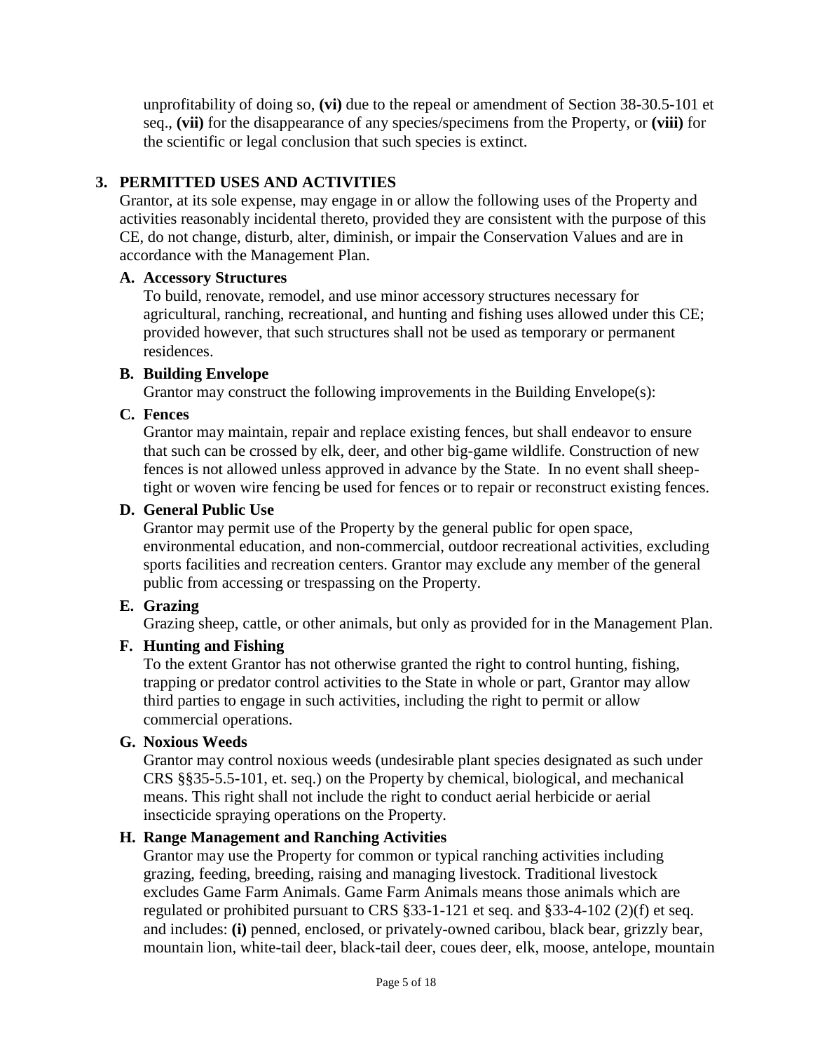unprofitability of doing so, **(vi)** due to the repeal or amendment of Section 38-30.5-101 et seq., **(vii)** for the disappearance of any species/specimens from the Property, or **(viii)** for the scientific or legal conclusion that such species is extinct.

## <span id="page-4-0"></span>**3. PERMITTED USES AND ACTIVITIES**

Grantor, at its sole expense, may engage in or allow the following uses of the Property and activities reasonably incidental thereto, provided they are consistent with the purpose of this CE, do not change, disturb, alter, diminish, or impair the Conservation Values and are in accordance with the Management Plan.

#### **A. Accessory Structures**

To build, renovate, remodel, and use minor accessory structures necessary for agricultural, ranching, recreational, and hunting and fishing uses allowed under this CE; provided however, that such structures shall not be used as temporary or permanent residences.

## **B. Building Envelope**

Grantor may construct the following improvements in the Building Envelope(s):

## **C. Fences**

Grantor may maintain, repair and replace existing fences, but shall endeavor to ensure that such can be crossed by elk, deer, and other big-game wildlife. Construction of new fences is not allowed unless approved in advance by the State. In no event shall sheeptight or woven wire fencing be used for fences or to repair or reconstruct existing fences.

#### **D. General Public Use**

Grantor may permit use of the Property by the general public for open space, environmental education, and non-commercial, outdoor recreational activities, excluding sports facilities and recreation centers. Grantor may exclude any member of the general public from accessing or trespassing on the Property.

## **E. Grazing**

Grazing sheep, cattle, or other animals, but only as provided for in the Management Plan.

## **F. Hunting and Fishing**

To the extent Grantor has not otherwise granted the right to control hunting, fishing, trapping or predator control activities to the State in whole or part, Grantor may allow third parties to engage in such activities, including the right to permit or allow commercial operations.

## **G. Noxious Weeds**

Grantor may control noxious weeds (undesirable plant species designated as such under CRS §§35-5.5-101, et. seq.) on the Property by chemical, biological, and mechanical means. This right shall not include the right to conduct aerial herbicide or aerial insecticide spraying operations on the Property.

## **H. Range Management and Ranching Activities**

Grantor may use the Property for common or typical ranching activities including grazing, feeding, breeding, raising and managing livestock. Traditional livestock excludes Game Farm Animals. Game Farm Animals means those animals which are regulated or prohibited pursuant to CRS §33-1-121 et seq. and §33-4-102 (2)(f) et seq. and includes: **(i)** penned, enclosed, or privately-owned caribou, black bear, grizzly bear, mountain lion, white-tail deer, black-tail deer, coues deer, elk, moose, antelope, mountain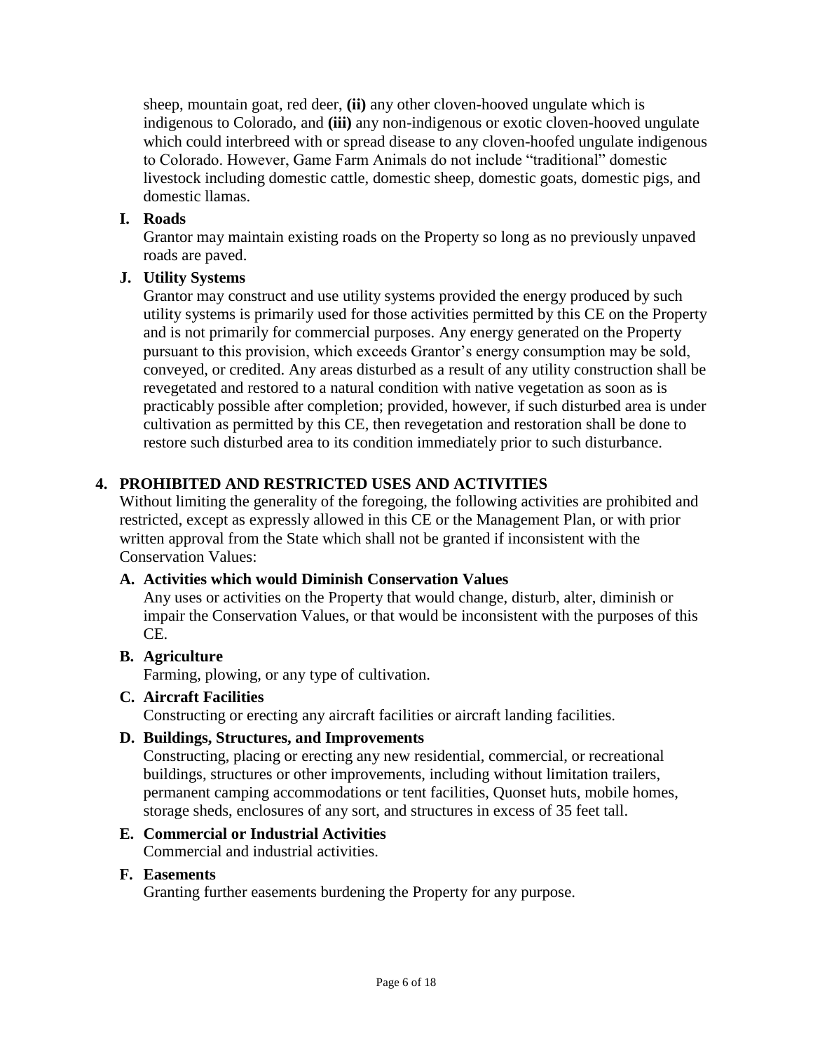sheep, mountain goat, red deer, **(ii)** any other cloven-hooved ungulate which is indigenous to Colorado, and **(iii)** any non-indigenous or exotic cloven-hooved ungulate which could interbreed with or spread disease to any cloven-hoofed ungulate indigenous to Colorado. However, Game Farm Animals do not include "traditional" domestic livestock including domestic cattle, domestic sheep, domestic goats, domestic pigs, and domestic llamas.

## **I. Roads**

Grantor may maintain existing roads on the Property so long as no previously unpaved roads are paved.

## **J. Utility Systems**

Grantor may construct and use utility systems provided the energy produced by such utility systems is primarily used for those activities permitted by this CE on the Property and is not primarily for commercial purposes. Any energy generated on the Property pursuant to this provision, which exceeds Grantor's energy consumption may be sold, conveyed, or credited. Any areas disturbed as a result of any utility construction shall be revegetated and restored to a natural condition with native vegetation as soon as is practicably possible after completion; provided, however, if such disturbed area is under cultivation as permitted by this CE, then revegetation and restoration shall be done to restore such disturbed area to its condition immediately prior to such disturbance.

## <span id="page-5-0"></span>**4. PROHIBITED AND RESTRICTED USES AND ACTIVITIES**

Without limiting the generality of the foregoing, the following activities are prohibited and restricted, except as expressly allowed in this CE or the Management Plan, or with prior written approval from the State which shall not be granted if inconsistent with the Conservation Values:

## **A. Activities which would Diminish Conservation Values**

Any uses or activities on the Property that would change, disturb, alter, diminish or impair the Conservation Values, or that would be inconsistent with the purposes of this CE.

## **B. Agriculture**

Farming, plowing, or any type of cultivation.

## **C. Aircraft Facilities**

Constructing or erecting any aircraft facilities or aircraft landing facilities.

## **D. Buildings, Structures, and Improvements**

Constructing, placing or erecting any new residential, commercial, or recreational buildings, structures or other improvements, including without limitation trailers, permanent camping accommodations or tent facilities, Quonset huts, mobile homes, storage sheds, enclosures of any sort, and structures in excess of 35 feet tall.

## **E. Commercial or Industrial Activities**

Commercial and industrial activities.

#### **F. Easements**

Granting further easements burdening the Property for any purpose.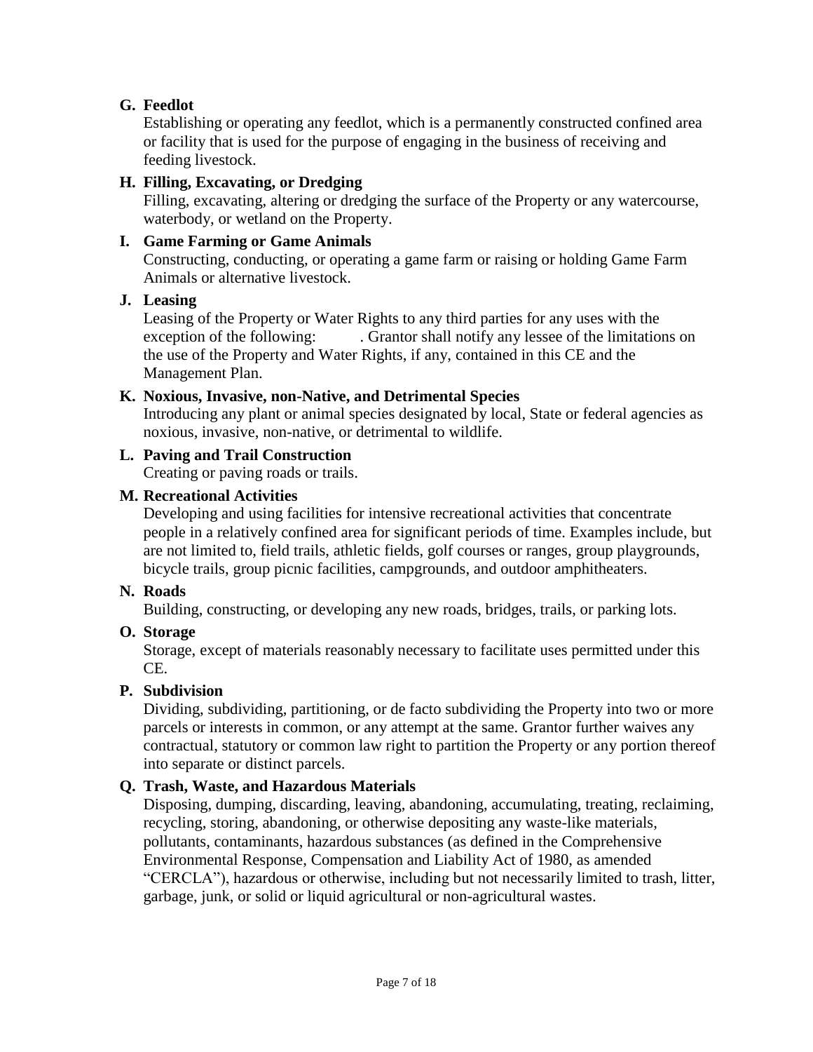## **G. Feedlot**

Establishing or operating any feedlot, which is a permanently constructed confined area or facility that is used for the purpose of engaging in the business of receiving and feeding livestock.

## **H. Filling, Excavating, or Dredging**

Filling, excavating, altering or dredging the surface of the Property or any watercourse, waterbody, or wetland on the Property.

## **I. Game Farming or Game Animals**

Constructing, conducting, or operating a game farm or raising or holding Game Farm Animals or alternative livestock.

## **J. Leasing**

Leasing of the Property or Water Rights to any third parties for any uses with the exception of the following: . Grantor shall notify any lessee of the limitations on the use of the Property and Water Rights, if any, contained in this CE and the Management Plan.

## **K. Noxious, Invasive, non-Native, and Detrimental Species**

Introducing any plant or animal species designated by local, State or federal agencies as noxious, invasive, non-native, or detrimental to wildlife.

## **L. Paving and Trail Construction**

Creating or paving roads or trails.

## **M. Recreational Activities**

Developing and using facilities for intensive recreational activities that concentrate people in a relatively confined area for significant periods of time. Examples include, but are not limited to, field trails, athletic fields, golf courses or ranges, group playgrounds, bicycle trails, group picnic facilities, campgrounds, and outdoor amphitheaters.

## **N. Roads**

Building, constructing, or developing any new roads, bridges, trails, or parking lots.

## **O. Storage**

Storage, except of materials reasonably necessary to facilitate uses permitted under this CE.

## **P. Subdivision**

Dividing, subdividing, partitioning, or de facto subdividing the Property into two or more parcels or interests in common, or any attempt at the same. Grantor further waives any contractual, statutory or common law right to partition the Property or any portion thereof into separate or distinct parcels.

## **Q. Trash, Waste, and Hazardous Materials**

Disposing, dumping, discarding, leaving, abandoning, accumulating, treating, reclaiming, recycling, storing, abandoning, or otherwise depositing any waste-like materials, pollutants, contaminants, hazardous substances (as defined in the Comprehensive Environmental Response, Compensation and Liability Act of 1980, as amended "CERCLA"), hazardous or otherwise, including but not necessarily limited to trash, litter, garbage, junk, or solid or liquid agricultural or non-agricultural wastes.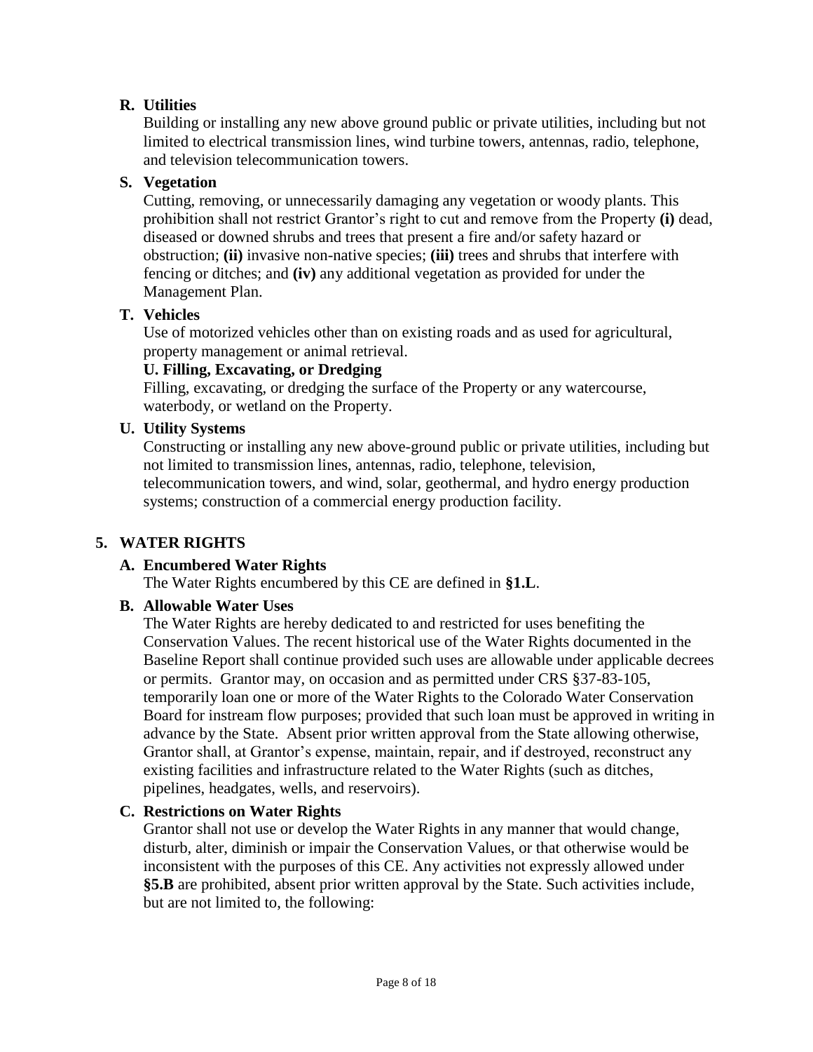## **R. Utilities**

Building or installing any new above ground public or private utilities, including but not limited to electrical transmission lines, wind turbine towers, antennas, radio, telephone, and television telecommunication towers.

## **S. Vegetation**

Cutting, removing, or unnecessarily damaging any vegetation or woody plants. This prohibition shall not restrict Grantor's right to cut and remove from the Property **(i)** dead, diseased or downed shrubs and trees that present a fire and/or safety hazard or obstruction; **(ii)** invasive non-native species; **(iii)** trees and shrubs that interfere with fencing or ditches; and **(iv)** any additional vegetation as provided for under the Management Plan.

## **T. Vehicles**

Use of motorized vehicles other than on existing roads and as used for agricultural, property management or animal retrieval.

## **U. Filling, Excavating, or Dredging**

Filling, excavating, or dredging the surface of the Property or any watercourse, waterbody, or wetland on the Property.

#### **U. Utility Systems**

Constructing or installing any new above-ground public or private utilities, including but not limited to transmission lines, antennas, radio, telephone, television, telecommunication towers, and wind, solar, geothermal, and hydro energy production systems; construction of a commercial energy production facility.

## <span id="page-7-0"></span>**5. WATER RIGHTS**

## **A. Encumbered Water Rights**

The Water Rights encumbered by this CE are defined in **[§1.L](#page-3-1)**.

#### <span id="page-7-1"></span>**B. Allowable Water Uses**

The Water Rights are hereby dedicated to and restricted for uses benefiting the Conservation Values. The recent historical use of the Water Rights documented in the Baseline Report shall continue provided such uses are allowable under applicable decrees or permits. Grantor may, on occasion and as permitted under CRS §37-83-105, temporarily loan one or more of the Water Rights to the Colorado Water Conservation Board for instream flow purposes; provided that such loan must be approved in writing in advance by the State. Absent prior written approval from the State allowing otherwise, Grantor shall, at Grantor's expense, maintain, repair, and if destroyed, reconstruct any existing facilities and infrastructure related to the Water Rights (such as ditches, pipelines, headgates, wells, and reservoirs).

## **C. Restrictions on Water Rights**

Grantor shall not use or develop the Water Rights in any manner that would change, disturb, alter, diminish or impair the Conservation Values, or that otherwise would be inconsistent with the purposes of this CE. Any activities not expressly allowed under **[§5.B](#page-7-1)** are prohibited, absent prior written approval by the State. Such activities include, but are not limited to, the following: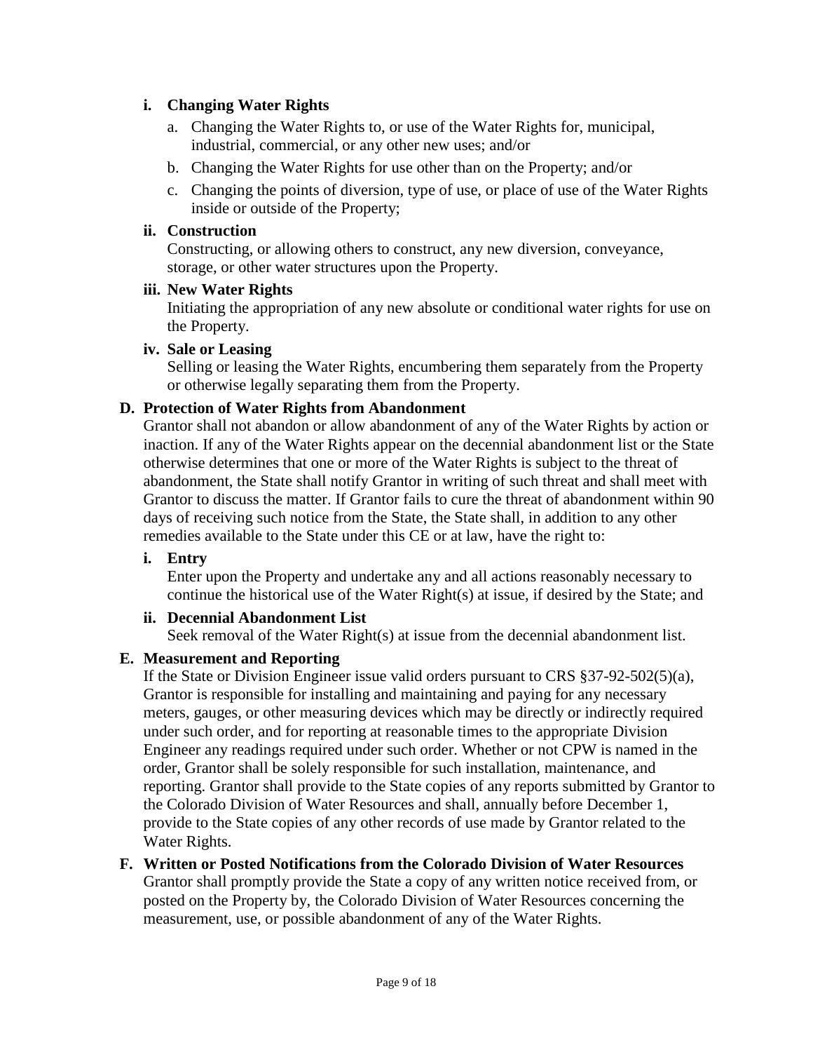## **i. Changing Water Rights**

- a. Changing the Water Rights to, or use of the Water Rights for, municipal, industrial, commercial, or any other new uses; and/or
- b. Changing the Water Rights for use other than on the Property; and/or
- c. Changing the points of diversion, type of use, or place of use of the Water Rights inside or outside of the Property;

## **ii. Construction**

Constructing, or allowing others to construct, any new diversion, conveyance, storage, or other water structures upon the Property.

## **iii. New Water Rights**

Initiating the appropriation of any new absolute or conditional water rights for use on the Property.

## **iv. Sale or Leasing**

Selling or leasing the Water Rights, encumbering them separately from the Property or otherwise legally separating them from the Property.

## **D. Protection of Water Rights from Abandonment**

Grantor shall not abandon or allow abandonment of any of the Water Rights by action or inaction. If any of the Water Rights appear on the decennial abandonment list or the State otherwise determines that one or more of the Water Rights is subject to the threat of abandonment, the State shall notify Grantor in writing of such threat and shall meet with Grantor to discuss the matter. If Grantor fails to cure the threat of abandonment within 90 days of receiving such notice from the State, the State shall, in addition to any other remedies available to the State under this CE or at law, have the right to:

## **i. Entry**

Enter upon the Property and undertake any and all actions reasonably necessary to continue the historical use of the Water Right(s) at issue, if desired by the State; and

## **ii. Decennial Abandonment List**

Seek removal of the Water Right(s) at issue from the decennial abandonment list.

## **E. Measurement and Reporting**

If the State or Division Engineer issue valid orders pursuant to CRS  $\S 37-92-502(5)$ (a), Grantor is responsible for installing and maintaining and paying for any necessary meters, gauges, or other measuring devices which may be directly or indirectly required under such order, and for reporting at reasonable times to the appropriate Division Engineer any readings required under such order. Whether or not CPW is named in the order, Grantor shall be solely responsible for such installation, maintenance, and reporting. Grantor shall provide to the State copies of any reports submitted by Grantor to the Colorado Division of Water Resources and shall, annually before December 1, provide to the State copies of any other records of use made by Grantor related to the Water Rights.

## **F. Written or Posted Notifications from the Colorado Division of Water Resources**

Grantor shall promptly provide the State a copy of any written notice received from, or posted on the Property by, the Colorado Division of Water Resources concerning the measurement, use, or possible abandonment of any of the Water Rights.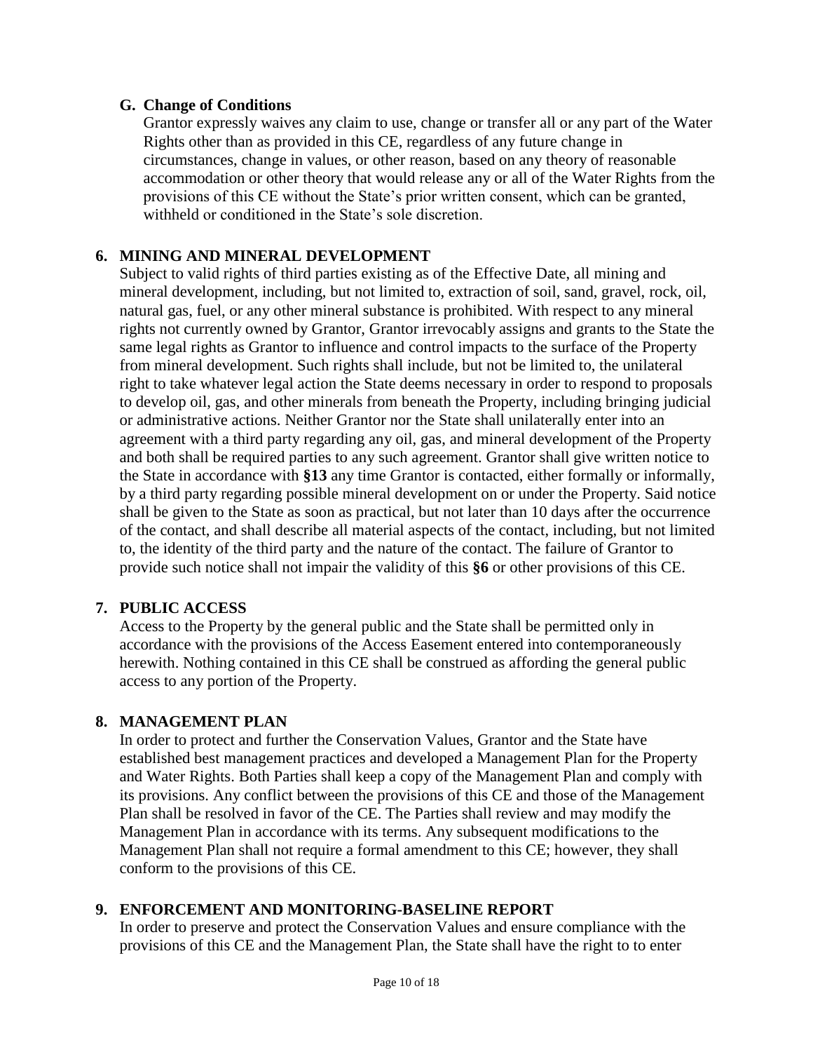#### **G. Change of Conditions**

Grantor expressly waives any claim to use, change or transfer all or any part of the Water Rights other than as provided in this CE, regardless of any future change in circumstances, change in values, or other reason, based on any theory of reasonable accommodation or other theory that would release any or all of the Water Rights from the provisions of this CE without the State's prior written consent, which can be granted, withheld or conditioned in the State's sole discretion.

## <span id="page-9-0"></span>**6. MINING AND MINERAL DEVELOPMENT**

Subject to valid rights of third parties existing as of the Effective Date, all mining and mineral development, including, but not limited to, extraction of soil, sand, gravel, rock, oil, natural gas, fuel, or any other mineral substance is prohibited. With respect to any mineral rights not currently owned by Grantor, Grantor irrevocably assigns and grants to the State the same legal rights as Grantor to influence and control impacts to the surface of the Property from mineral development. Such rights shall include, but not be limited to, the unilateral right to take whatever legal action the State deems necessary in order to respond to proposals to develop oil, gas, and other minerals from beneath the Property, including bringing judicial or administrative actions. Neither Grantor nor the State shall unilaterally enter into an agreement with a third party regarding any oil, gas, and mineral development of the Property and both shall be required parties to any such agreement. Grantor shall give written notice to the State in accordance with **[§13](#page-13-0)** any time Grantor is contacted, either formally or informally, by a third party regarding possible mineral development on or under the Property. Said notice shall be given to the State as soon as practical, but not later than 10 days after the occurrence of the contact, and shall describe all material aspects of the contact, including, but not limited to, the identity of the third party and the nature of the contact. The failure of Grantor to provide such notice shall not impair the validity of this **[§6](#page-9-0)** or other provisions of this CE.

#### <span id="page-9-1"></span>**7. PUBLIC ACCESS**

Access to the Property by the general public and the State shall be permitted only in accordance with the provisions of the Access Easement entered into contemporaneously herewith. Nothing contained in this CE shall be construed as affording the general public access to any portion of the Property.

## <span id="page-9-2"></span>**8. MANAGEMENT PLAN**

In order to protect and further the Conservation Values, Grantor and the State have established best management practices and developed a Management Plan for the Property and Water Rights. Both Parties shall keep a copy of the Management Plan and comply with its provisions. Any conflict between the provisions of this CE and those of the Management Plan shall be resolved in favor of the CE. The Parties shall review and may modify the Management Plan in accordance with its terms. Any subsequent modifications to the Management Plan shall not require a formal amendment to this CE; however, they shall conform to the provisions of this CE.

## <span id="page-9-3"></span>**9. ENFORCEMENT AND MONITORING-BASELINE REPORT**

In order to preserve and protect the Conservation Values and ensure compliance with the provisions of this CE and the Management Plan, the State shall have the right to to enter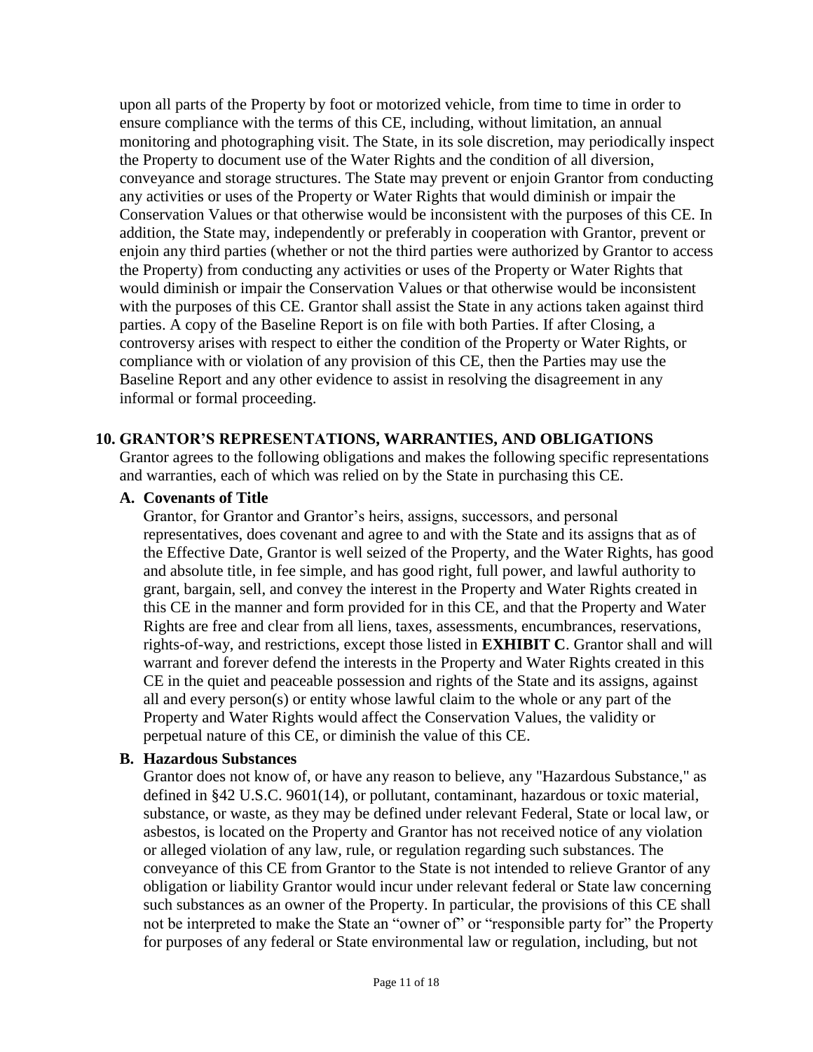upon all parts of the Property by foot or motorized vehicle, from time to time in order to ensure compliance with the terms of this CE, including, without limitation, an annual monitoring and photographing visit. The State, in its sole discretion, may periodically inspect the Property to document use of the Water Rights and the condition of all diversion, conveyance and storage structures. The State may prevent or enjoin Grantor from conducting any activities or uses of the Property or Water Rights that would diminish or impair the Conservation Values or that otherwise would be inconsistent with the purposes of this CE. In addition, the State may, independently or preferably in cooperation with Grantor, prevent or enjoin any third parties (whether or not the third parties were authorized by Grantor to access the Property) from conducting any activities or uses of the Property or Water Rights that would diminish or impair the Conservation Values or that otherwise would be inconsistent with the purposes of this CE. Grantor shall assist the State in any actions taken against third parties. A copy of the Baseline Report is on file with both Parties. If after Closing, a controversy arises with respect to either the condition of the Property or Water Rights, or compliance with or violation of any provision of this CE, then the Parties may use the Baseline Report and any other evidence to assist in resolving the disagreement in any informal or formal proceeding.

#### <span id="page-10-0"></span>**10. GRANTOR'S REPRESENTATIONS, WARRANTIES, AND OBLIGATIONS**

Grantor agrees to the following obligations and makes the following specific representations and warranties, each of which was relied on by the State in purchasing this CE.

#### **A. Covenants of Title**

Grantor, for Grantor and Grantor's heirs, assigns, successors, and personal representatives, does covenant and agree to and with the State and its assigns that as of the Effective Date, Grantor is well seized of the Property, and the Water Rights, has good and absolute title, in fee simple, and has good right, full power, and lawful authority to grant, bargain, sell, and convey the interest in the Property and Water Rights created in this CE in the manner and form provided for in this CE, and that the Property and Water Rights are free and clear from all liens, taxes, assessments, encumbrances, reservations, rights-of-way, and restrictions, except those listed in **[EXHIBIT C](#page-20-0)**. Grantor shall and will warrant and forever defend the interests in the Property and Water Rights created in this CE in the quiet and peaceable possession and rights of the State and its assigns, against all and every person(s) or entity whose lawful claim to the whole or any part of the Property and Water Rights would affect the Conservation Values, the validity or perpetual nature of this CE, or diminish the value of this CE.

#### **B. Hazardous Substances**

Grantor does not know of, or have any reason to believe, any "Hazardous Substance," as defined in §42 U.S.C. 9601(14), or pollutant, contaminant, hazardous or toxic material, substance, or waste, as they may be defined under relevant Federal, State or local law, or asbestos, is located on the Property and Grantor has not received notice of any violation or alleged violation of any law, rule, or regulation regarding such substances. The conveyance of this CE from Grantor to the State is not intended to relieve Grantor of any obligation or liability Grantor would incur under relevant federal or State law concerning such substances as an owner of the Property. In particular, the provisions of this CE shall not be interpreted to make the State an "owner of" or "responsible party for" the Property for purposes of any federal or State environmental law or regulation, including, but not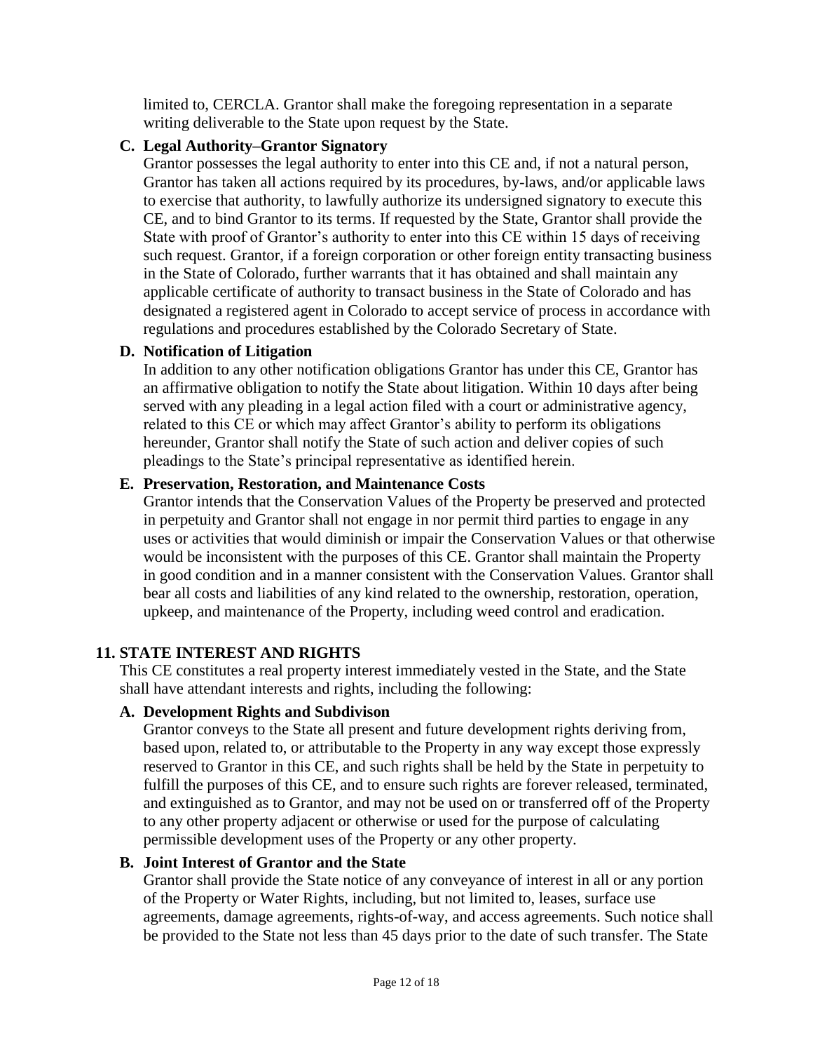limited to, CERCLA. Grantor shall make the foregoing representation in a separate writing deliverable to the State upon request by the State.

## **C. Legal Authority–Grantor Signatory**

Grantor possesses the legal authority to enter into this CE and, if not a natural person, Grantor has taken all actions required by its procedures, by-laws, and/or applicable laws to exercise that authority, to lawfully authorize its undersigned signatory to execute this CE, and to bind Grantor to its terms. If requested by the State, Grantor shall provide the State with proof of Grantor's authority to enter into this CE within 15 days of receiving such request. Grantor, if a foreign corporation or other foreign entity transacting business in the State of Colorado, further warrants that it has obtained and shall maintain any applicable certificate of authority to transact business in the State of Colorado and has designated a registered agent in Colorado to accept service of process in accordance with regulations and procedures established by the Colorado Secretary of State.

## **D. Notification of Litigation**

In addition to any other notification obligations Grantor has under this CE, Grantor has an affirmative obligation to notify the State about litigation. Within 10 days after being served with any pleading in a legal action filed with a court or administrative agency, related to this CE or which may affect Grantor's ability to perform its obligations hereunder, Grantor shall notify the State of such action and deliver copies of such pleadings to the State's principal representative as identified herein.

## **E. Preservation, Restoration, and Maintenance Costs**

Grantor intends that the Conservation Values of the Property be preserved and protected in perpetuity and Grantor shall not engage in nor permit third parties to engage in any uses or activities that would diminish or impair the Conservation Values or that otherwise would be inconsistent with the purposes of this CE. Grantor shall maintain the Property in good condition and in a manner consistent with the Conservation Values. Grantor shall bear all costs and liabilities of any kind related to the ownership, restoration, operation, upkeep, and maintenance of the Property, including weed control and eradication.

## <span id="page-11-0"></span>**11. STATE INTEREST AND RIGHTS**

This CE constitutes a real property interest immediately vested in the State, and the State shall have attendant interests and rights, including the following:

## **A. Development Rights and Subdivison**

Grantor conveys to the State all present and future development rights deriving from, based upon, related to, or attributable to the Property in any way except those expressly reserved to Grantor in this CE, and such rights shall be held by the State in perpetuity to fulfill the purposes of this CE, and to ensure such rights are forever released, terminated, and extinguished as to Grantor, and may not be used on or transferred off of the Property to any other property adjacent or otherwise or used for the purpose of calculating permissible development uses of the Property or any other property.

## **B. Joint Interest of Grantor and the State**

Grantor shall provide the State notice of any conveyance of interest in all or any portion of the Property or Water Rights, including, but not limited to, leases, surface use agreements, damage agreements, rights-of-way, and access agreements. Such notice shall be provided to the State not less than 45 days prior to the date of such transfer. The State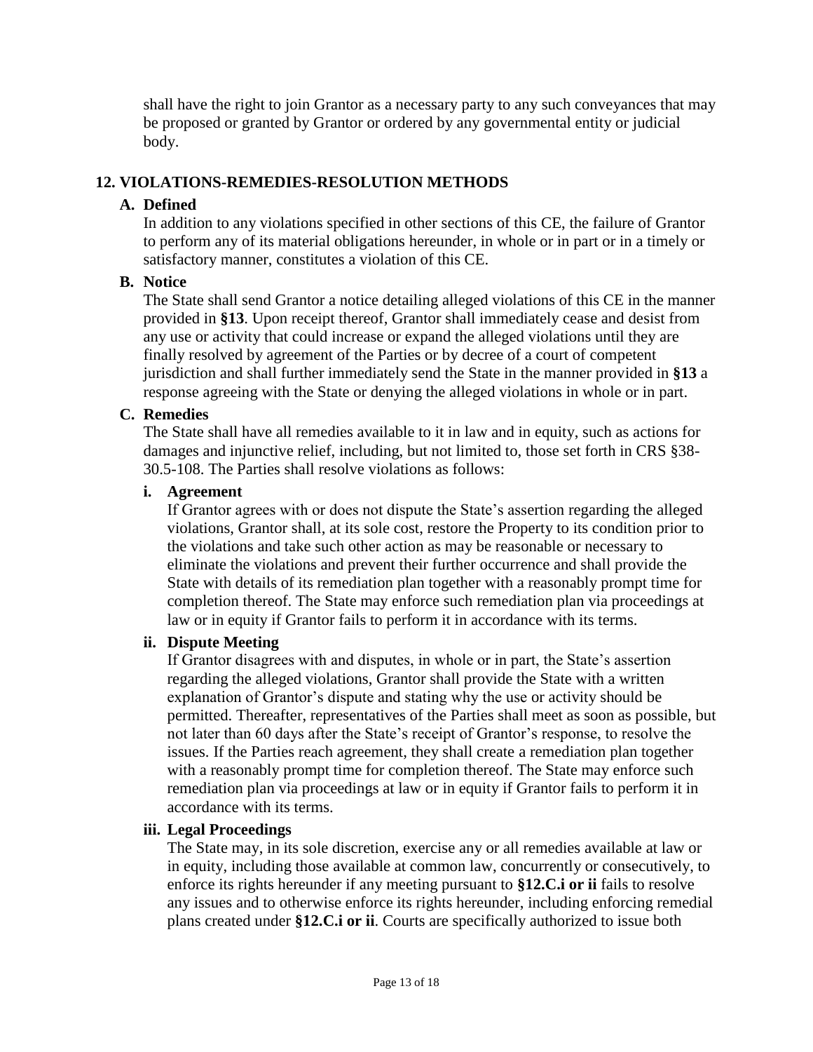shall have the right to join Grantor as a necessary party to any such conveyances that may be proposed or granted by Grantor or ordered by any governmental entity or judicial body.

## <span id="page-12-0"></span>**12. VIOLATIONS-REMEDIES-RESOLUTION METHODS**

#### **A. Defined**

In addition to any violations specified in other sections of this CE, the failure of Grantor to perform any of its material obligations hereunder, in whole or in part or in a timely or satisfactory manner, constitutes a violation of this CE.

## **B. Notice**

The State shall send Grantor a notice detailing alleged violations of this CE in the manner provided in **[§13](#page-13-0)**. Upon receipt thereof, Grantor shall immediately cease and desist from any use or activity that could increase or expand the alleged violations until they are finally resolved by agreement of the Parties or by decree of a court of competent jurisdiction and shall further immediately send the State in the manner provided in **[§13](#page-13-0)** a response agreeing with the State or denying the alleged violations in whole or in part.

## **C. Remedies**

The State shall have all remedies available to it in law and in equity, such as actions for damages and injunctive relief, including, but not limited to, those set forth in CRS §38- 30.5-108. The Parties shall resolve violations as follows:

#### <span id="page-12-1"></span>**i. Agreement**

If Grantor agrees with or does not dispute the State's assertion regarding the alleged violations, Grantor shall, at its sole cost, restore the Property to its condition prior to the violations and take such other action as may be reasonable or necessary to eliminate the violations and prevent their further occurrence and shall provide the State with details of its remediation plan together with a reasonably prompt time for completion thereof. The State may enforce such remediation plan via proceedings at law or in equity if Grantor fails to perform it in accordance with its terms.

## <span id="page-12-2"></span>**ii. Dispute Meeting**

If Grantor disagrees with and disputes, in whole or in part, the State's assertion regarding the alleged violations, Grantor shall provide the State with a written explanation of Grantor's dispute and stating why the use or activity should be permitted. Thereafter, representatives of the Parties shall meet as soon as possible, but not later than 60 days after the State's receipt of Grantor's response, to resolve the issues. If the Parties reach agreement, they shall create a remediation plan together with a reasonably prompt time for completion thereof. The State may enforce such remediation plan via proceedings at law or in equity if Grantor fails to perform it in accordance with its terms.

#### **iii. Legal Proceedings**

The State may, in its sole discretion, exercise any or all remedies available at law or in equity, including those available at common law, concurrently or consecutively, to enforce its rights hereunder if any meeting pursuant to **[§12.C.i](#page-12-1) or [ii](#page-12-2)** fails to resolve any issues and to otherwise enforce its rights hereunder, including enforcing remedial plans created under **[§12.C.i](#page-12-1) or [ii](#page-12-2)**. Courts are specifically authorized to issue both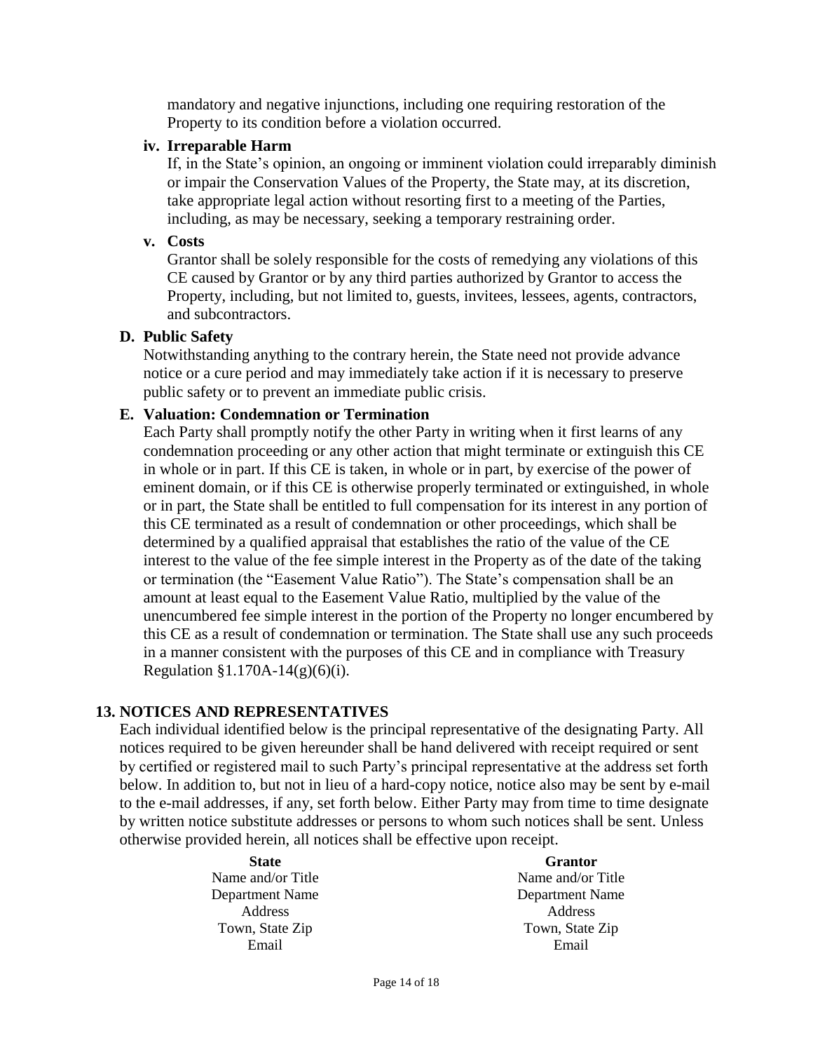mandatory and negative injunctions, including one requiring restoration of the Property to its condition before a violation occurred.

#### **iv. Irreparable Harm**

If, in the State's opinion, an ongoing or imminent violation could irreparably diminish or impair the Conservation Values of the Property, the State may, at its discretion, take appropriate legal action without resorting first to a meeting of the Parties, including, as may be necessary, seeking a temporary restraining order.

#### **v. Costs**

Grantor shall be solely responsible for the costs of remedying any violations of this CE caused by Grantor or by any third parties authorized by Grantor to access the Property, including, but not limited to, guests, invitees, lessees, agents, contractors, and subcontractors.

#### **D. Public Safety**

Notwithstanding anything to the contrary herein, the State need not provide advance notice or a cure period and may immediately take action if it is necessary to preserve public safety or to prevent an immediate public crisis.

#### **E. Valuation: Condemnation or Termination**

Each Party shall promptly notify the other Party in writing when it first learns of any condemnation proceeding or any other action that might terminate or extinguish this CE in whole or in part. If this CE is taken, in whole or in part, by exercise of the power of eminent domain, or if this CE is otherwise properly terminated or extinguished, in whole or in part, the State shall be entitled to full compensation for its interest in any portion of this CE terminated as a result of condemnation or other proceedings, which shall be determined by a qualified appraisal that establishes the ratio of the value of the CE interest to the value of the fee simple interest in the Property as of the date of the taking or termination (the "Easement Value Ratio"). The State's compensation shall be an amount at least equal to the Easement Value Ratio, multiplied by the value of the unencumbered fee simple interest in the portion of the Property no longer encumbered by this CE as a result of condemnation or termination. The State shall use any such proceeds in a manner consistent with the purposes of this CE and in compliance with Treasury Regulation  $$1.170A-14(g)(6)(i)$ .

## <span id="page-13-0"></span>**13. NOTICES AND REPRESENTATIVES**

Each individual identified below is the principal representative of the designating Party. All notices required to be given hereunder shall be hand delivered with receipt required or sent by certified or registered mail to such Party's principal representative at the address set forth below. In addition to, but not in lieu of a hard-copy notice, notice also may be sent by e-mail to the e-mail addresses, if any, set forth below. Either Party may from time to time designate by written notice substitute addresses or persons to whom such notices shall be sent. Unless otherwise provided herein, all notices shall be effective upon receipt.

> **State** Name and/or Title Department Name Address Town, State Zip Email

**Grantor** Name and/or Title Department Name Address Town, State Zip Email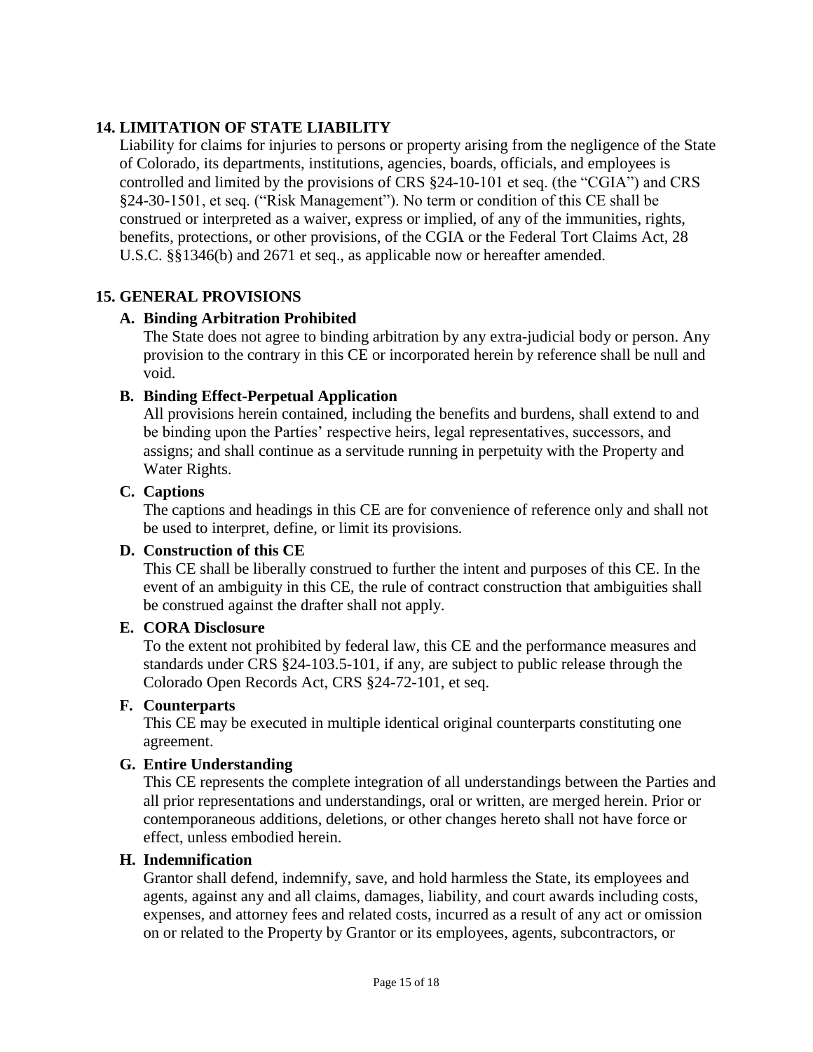## <span id="page-14-0"></span>**14. LIMITATION OF STATE LIABILITY**

Liability for claims for injuries to persons or property arising from the negligence of the State of Colorado, its departments, institutions, agencies, boards, officials, and employees is controlled and limited by the provisions of CRS §24-10-101 et seq. (the "CGIA") and CRS §24-30-1501, et seq. ("Risk Management"). No term or condition of this CE shall be construed or interpreted as a waiver, express or implied, of any of the immunities, rights, benefits, protections, or other provisions, of the CGIA or the Federal Tort Claims Act, 28 U.S.C. §§1346(b) and 2671 et seq., as applicable now or hereafter amended.

## <span id="page-14-1"></span>**15. GENERAL PROVISIONS**

## **A. Binding Arbitration Prohibited**

The State does not agree to binding arbitration by any extra-judicial body or person. Any provision to the contrary in this CE or incorporated herein by reference shall be null and void.

## **B. Binding Effect-Perpetual Application**

All provisions herein contained, including the benefits and burdens, shall extend to and be binding upon the Parties' respective heirs, legal representatives, successors, and assigns; and shall continue as a servitude running in perpetuity with the Property and Water Rights.

## **C. Captions**

The captions and headings in this CE are for convenience of reference only and shall not be used to interpret, define, or limit its provisions.

## **D. Construction of this CE**

This CE shall be liberally construed to further the intent and purposes of this CE. In the event of an ambiguity in this CE, the rule of contract construction that ambiguities shall be construed against the drafter shall not apply.

## **E. CORA Disclosure**

To the extent not prohibited by federal law, this CE and the performance measures and standards under CRS §24-103.5-101, if any, are subject to public release through the Colorado Open Records Act, CRS §24-72-101, et seq.

## **F. Counterparts**

This CE may be executed in multiple identical original counterparts constituting one agreement.

## **G. Entire Understanding**

This CE represents the complete integration of all understandings between the Parties and all prior representations and understandings, oral or written, are merged herein. Prior or contemporaneous additions, deletions, or other changes hereto shall not have force or effect, unless embodied herein.

## **H. Indemnification**

Grantor shall defend, indemnify, save, and hold harmless the State, its employees and agents, against any and all claims, damages, liability, and court awards including costs, expenses, and attorney fees and related costs, incurred as a result of any act or omission on or related to the Property by Grantor or its employees, agents, subcontractors, or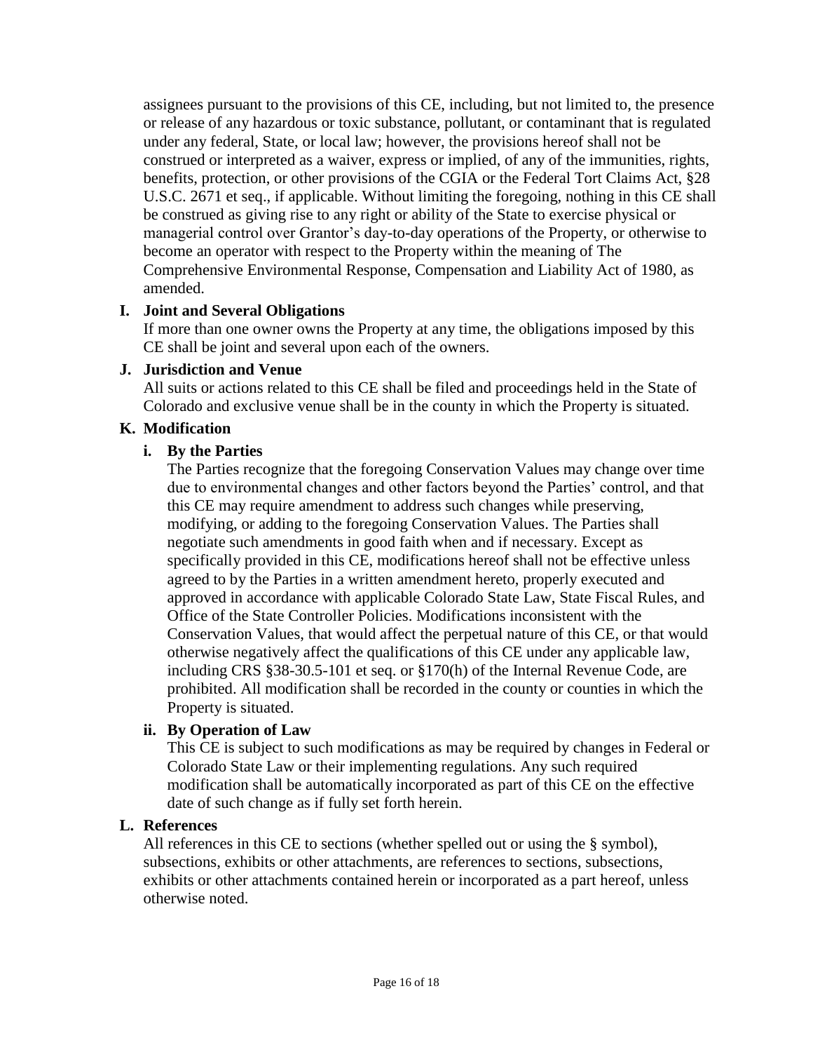assignees pursuant to the provisions of this CE, including, but not limited to, the presence or release of any hazardous or toxic substance, pollutant, or contaminant that is regulated under any federal, State, or local law; however, the provisions hereof shall not be construed or interpreted as a waiver, express or implied, of any of the immunities, rights, benefits, protection, or other provisions of the CGIA or the Federal Tort Claims Act, §28 U.S.C. 2671 et seq., if applicable. Without limiting the foregoing, nothing in this CE shall be construed as giving rise to any right or ability of the State to exercise physical or managerial control over Grantor's day-to-day operations of the Property, or otherwise to become an operator with respect to the Property within the meaning of The Comprehensive Environmental Response, Compensation and Liability Act of 1980, as amended.

#### **I. Joint and Several Obligations**

If more than one owner owns the Property at any time, the obligations imposed by this CE shall be joint and several upon each of the owners.

#### **J. Jurisdiction and Venue**

All suits or actions related to this CE shall be filed and proceedings held in the State of Colorado and exclusive venue shall be in the county in which the Property is situated.

## **K. Modification**

#### **i. By the Parties**

The Parties recognize that the foregoing Conservation Values may change over time due to environmental changes and other factors beyond the Parties' control, and that this CE may require amendment to address such changes while preserving, modifying, or adding to the foregoing Conservation Values. The Parties shall negotiate such amendments in good faith when and if necessary. Except as specifically provided in this CE, modifications hereof shall not be effective unless agreed to by the Parties in a written amendment hereto, properly executed and approved in accordance with applicable Colorado State Law, State Fiscal Rules, and Office of the State Controller Policies. Modifications inconsistent with the Conservation Values, that would affect the perpetual nature of this CE, or that would otherwise negatively affect the qualifications of this CE under any applicable law, including CRS §38-30.5-101 et seq. or §170(h) of the Internal Revenue Code, are prohibited. All modification shall be recorded in the county or counties in which the Property is situated.

#### **ii. By Operation of Law**

This CE is subject to such modifications as may be required by changes in Federal or Colorado State Law or their implementing regulations. Any such required modification shall be automatically incorporated as part of this CE on the effective date of such change as if fully set forth herein.

#### **L. References**

All references in this CE to sections (whether spelled out or using the § symbol), subsections, exhibits or other attachments, are references to sections, subsections, exhibits or other attachments contained herein or incorporated as a part hereof, unless otherwise noted.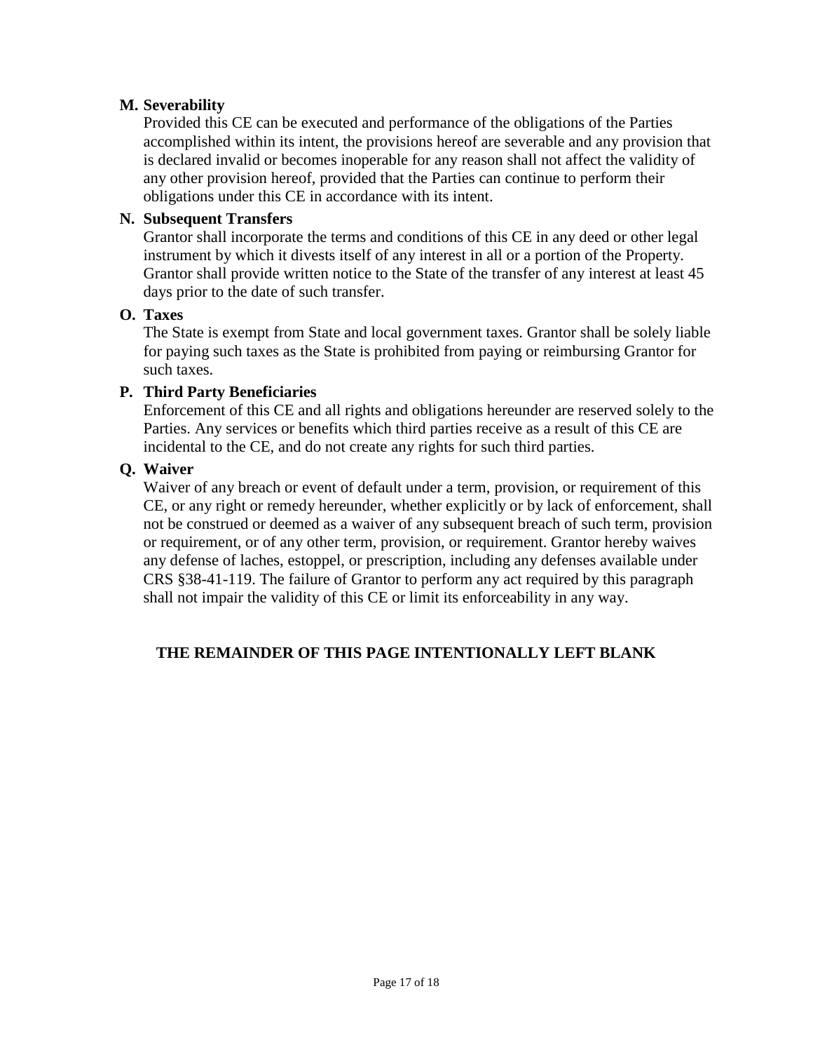## **M. Severability**

Provided this CE can be executed and performance of the obligations of the Parties accomplished within its intent, the provisions hereof are severable and any provision that is declared invalid or becomes inoperable for any reason shall not affect the validity of any other provision hereof, provided that the Parties can continue to perform their obligations under this CE in accordance with its intent.

## **N. Subsequent Transfers**

Grantor shall incorporate the terms and conditions of this CE in any deed or other legal instrument by which it divests itself of any interest in all or a portion of the Property. Grantor shall provide written notice to the State of the transfer of any interest at least 45 days prior to the date of such transfer.

## **O. Taxes**

The State is exempt from State and local government taxes. Grantor shall be solely liable for paying such taxes as the State is prohibited from paying or reimbursing Grantor for such taxes.

## **P. Third Party Beneficiaries**

Enforcement of this CE and all rights and obligations hereunder are reserved solely to the Parties. Any services or benefits which third parties receive as a result of this CE are incidental to the CE, and do not create any rights for such third parties.

## **Q. Waiver**

Waiver of any breach or event of default under a term, provision, or requirement of this CE, or any right or remedy hereunder, whether explicitly or by lack of enforcement, shall not be construed or deemed as a waiver of any subsequent breach of such term, provision or requirement, or of any other term, provision, or requirement. Grantor hereby waives any defense of laches, estoppel, or prescription, including any defenses available under CRS §38-41-119. The failure of Grantor to perform any act required by this paragraph shall not impair the validity of this CE or limit its enforceability in any way.

## **THE REMAINDER OF THIS PAGE INTENTIONALLY LEFT BLANK**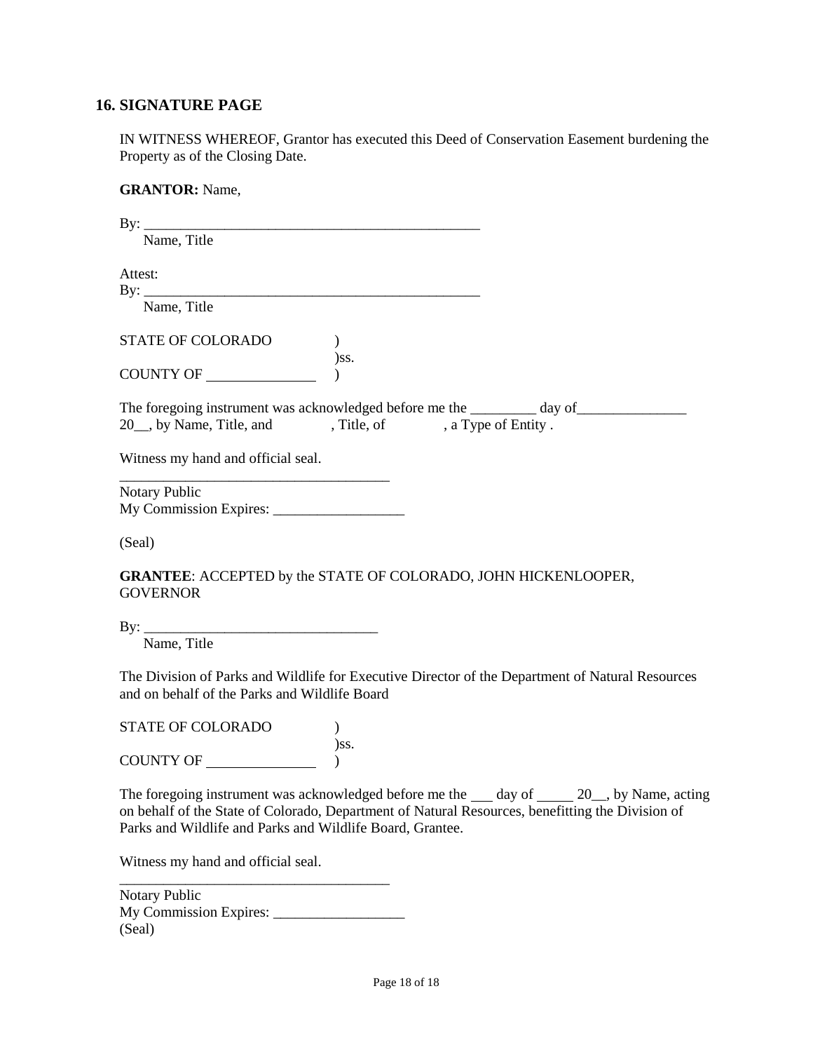#### <span id="page-17-0"></span>**16. SIGNATURE PAGE**

IN WITNESS WHEREOF, Grantor has executed this Deed of Conservation Easement burdening the Property as of the Closing Date.

**GRANTOR:** Name,  $\mathbf{B} \mathbf{v}$ : Name, Title Attest: By: \_\_\_\_\_\_\_\_\_\_\_\_\_\_\_\_\_\_\_\_\_\_\_\_\_\_\_\_\_\_\_\_\_\_\_\_\_\_\_\_\_\_\_\_\_\_ Name, Title STATE OF COLORADO ) )ss. COUNTY OF  $\qquad \qquad$  ) The foregoing instrument was acknowledged before me the \_\_\_\_\_\_\_\_ day of\_\_\_\_\_\_\_\_\_\_\_\_\_\_\_\_ 20 , by Name, Title, and , Title, of , a Type of Entity . Witness my hand and official seal. \_\_\_\_\_\_\_\_\_\_\_\_\_\_\_\_\_\_\_\_\_\_\_\_\_\_\_\_\_\_\_\_\_\_\_\_\_ Notary Public My Commission Expires: \_\_\_\_\_\_\_\_\_\_\_\_\_\_\_\_\_\_ (Seal) **GRANTEE**: ACCEPTED by the STATE OF COLORADO, JOHN HICKENLOOPER, **GOVERNOR**  $\operatorname{By:}$ Name, Title The Division of Parks and Wildlife for Executive Director of the Department of Natural Resources and on behalf of the Parks and Wildlife Board STATE OF COLORADO )

)ss. COUNTY OF  $\qquad \qquad$  )

The foregoing instrument was acknowledged before me the day of 20, by Name, acting on behalf of the State of Colorado, Department of Natural Resources, benefitting the Division of Parks and Wildlife and Parks and Wildlife Board, Grantee.

Witness my hand and official seal.

| Notary Public                 |  |
|-------------------------------|--|
| <b>My Commission Expires:</b> |  |
| (Seal)                        |  |

\_\_\_\_\_\_\_\_\_\_\_\_\_\_\_\_\_\_\_\_\_\_\_\_\_\_\_\_\_\_\_\_\_\_\_\_\_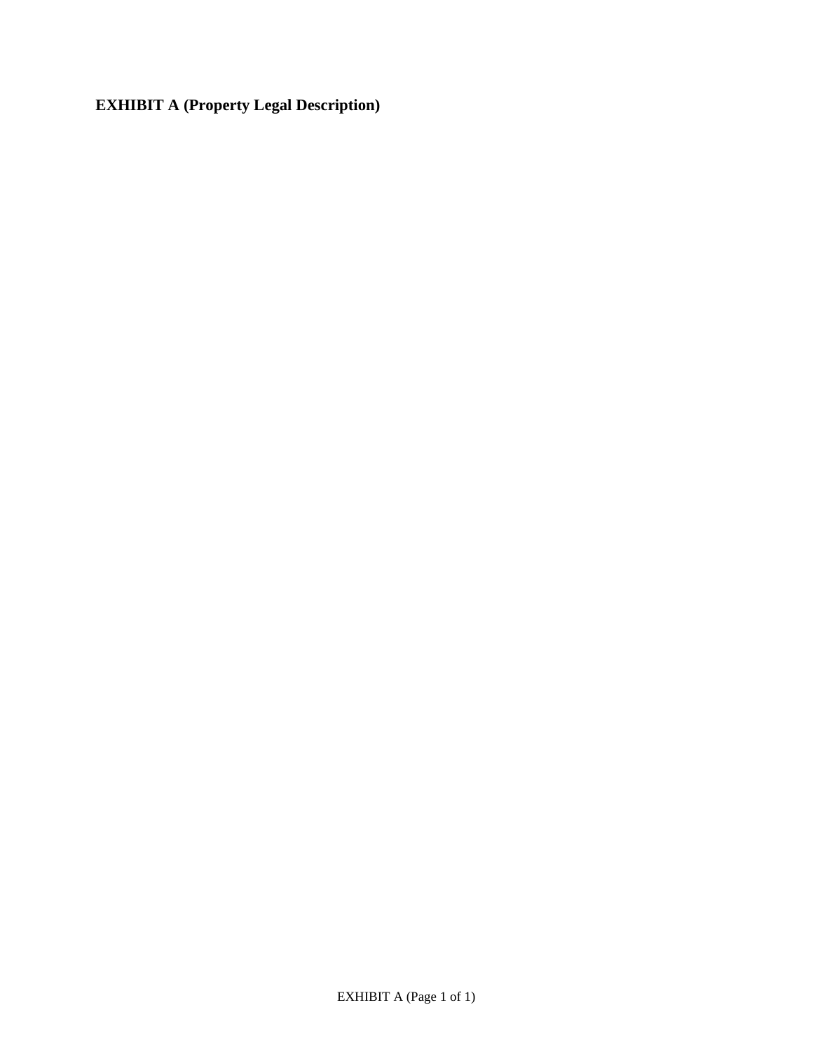<span id="page-18-0"></span>**EXHIBIT A (Property Legal Description)**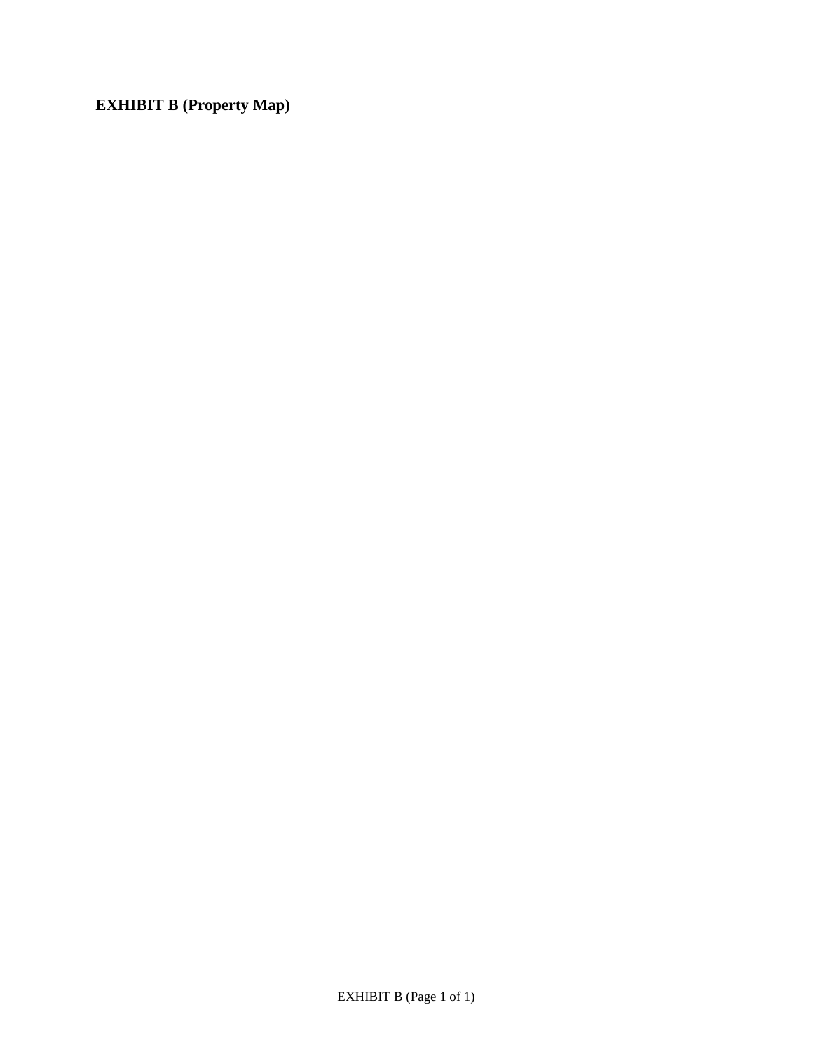<span id="page-19-0"></span>**EXHIBIT B (Property Map)**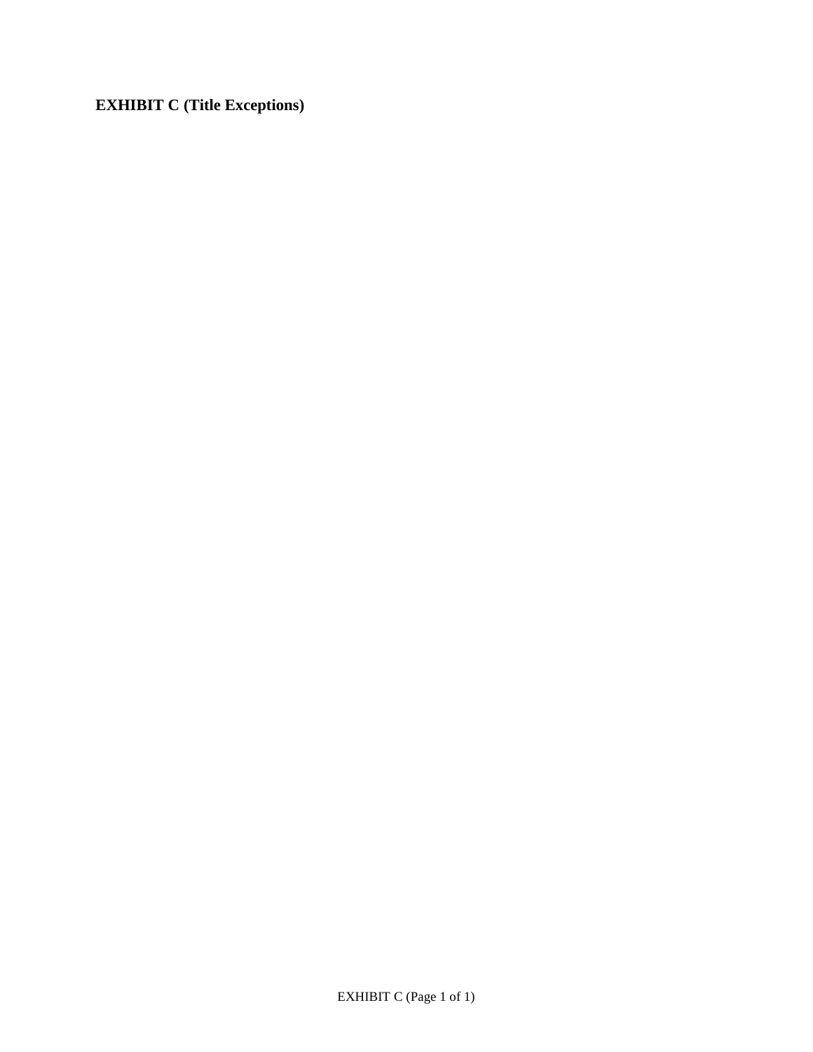<span id="page-20-0"></span>**EXHIBIT C (Title Exceptions)**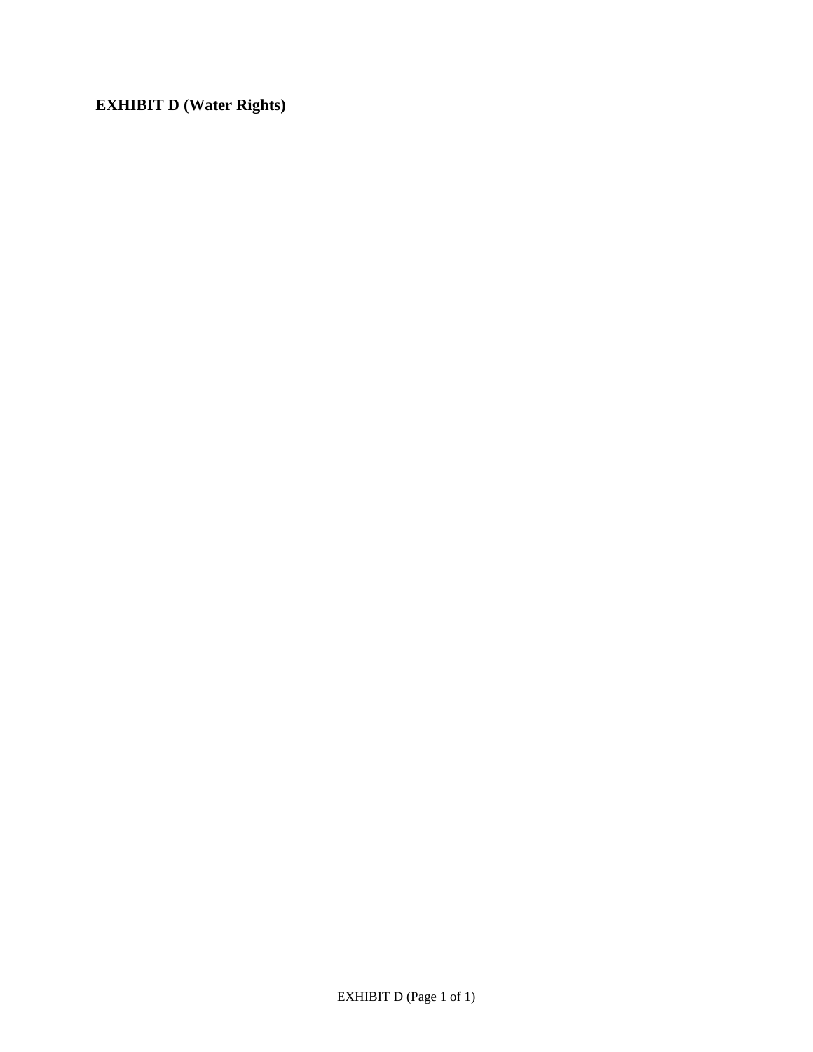<span id="page-21-0"></span>**EXHIBIT D (Water Rights)**